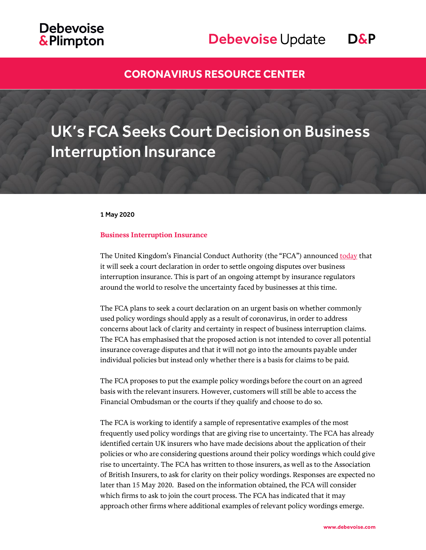## **Debevoise &Plimpton**

# Debevoise Update D&P

### **[CORONAVIRUS RESOURCE CENTER](https://www.debevoise.com/topics/covid19checklist)**

# UK's FCA Seeks Court Decision on Business Interruption Insurance

1 May 2020

#### **Business Interruption Insurance**

The United Kingdom's Financial Conduct Authority (the "FCA") announced [today](https://www.fca.org.uk/news/press-releases/fca-seeks-legal-clarity-business-interruption-insurance) that it will seek a court declaration in order to settle ongoing disputes over business interruption insurance. This is part of an ongoing attempt by insurance regulators around the world to resolve the uncertainty faced by businesses at this time.

The FCA plans to seek a court declaration on an urgent basis on whether commonly used policy wordings should apply as a result of coronavirus, in order to address concerns about lack of clarity and certainty in respect of business interruption claims. The FCA has emphasised that the proposed action is not intended to cover all potential insurance coverage disputes and that it will not go into the amounts payable under individual policies but instead only whether there is a basis for claims to be paid.

The FCA proposes to put the example policy wordings before the court on an agreed basis with the relevant insurers. However, customers will still be able to access the Financial Ombudsman or the courts if they qualify and choose to do so.

The FCA is working to identify a sample of representative examples of the most frequently used policy wordings that are giving rise to uncertainty. The FCA has already identified certain UK insurers who have made decisions about the application of their policies or who are considering questions around their policy wordings which could give rise to uncertainty. The FCA has written to those insurers, as well as to the Association of British Insurers, to ask for clarity on their policy wordings. Responses are expected no later than 15 May 2020. Based on the information obtained, the FCA will consider which firms to ask to join the court process. The FCA has indicated that it may approach other firms where additional examples of relevant policy wordings emerge.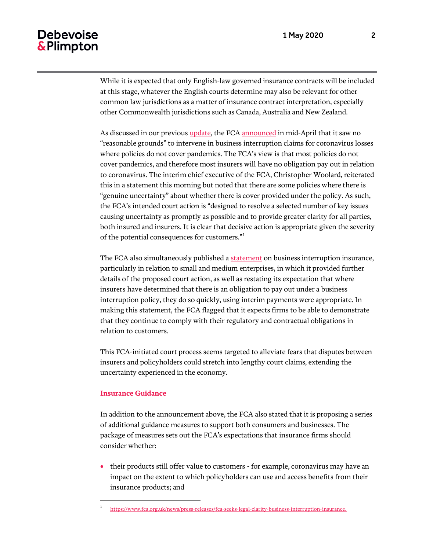While it is expected that only English-law governed insurance contracts will be included at this stage, whatever the English courts determine may also be relevant for other common law jurisdictions as a matter of insurance contract interpretation, especially other Commonwealth jurisdictions such as Canada, Australia and New Zealand.

As discussed in our previou[s update,](https://www.debevoise.com/insights/publications/2020/04/covid-19-the-fca-announces-its-approach-to) the FC[A announced](https://www.fca.org.uk/publication/correspondence/dear-ceo-insuring-sme-business-interruption-coronavirus.pdf) in mid-April that it saw no "reasonable grounds" to intervene in business interruption claims for coronavirus losses where policies do not cover pandemics. The FCA's view is that most policies do not cover pandemics, and therefore most insurers will have no obligation pay out in relation to coronavirus. The interim chief executive of the FCA, Christopher Woolard, reiterated this in a statement this morning but noted that there are some policies where there is "genuine uncertainty" about whether there is cover provided under the policy. As such, the FCA's intended court action is "designed to resolve a selected number of key issues causing uncertainty as promptly as possible and to provide greater clarity for all parties, both insured and insurers. It is clear that decisive action is appropriate given the severity of the potential consequences for customers."<sup>1</sup>

The FCA also simultaneously published [a statement](https://www.fca.org.uk/news/statements/insuring-smes-business-interruption) on business interruption insurance, particularly in relation to small and medium enterprises, in which it provided further details of the proposed court action, as well as restating its expectation that where insurers have determined that there is an obligation to pay out under a business interruption policy, they do so quickly, using interim payments were appropriate. In making this statement, the FCA flagged that it expects firms to be able to demonstrate that they continue to comply with their regulatory and contractual obligations in relation to customers.

This FCA-initiated court process seems targeted to alleviate fears that disputes between insurers and policyholders could stretch into lengthy court claims, extending the uncertainty experienced in the economy.

#### **Insurance Guidance**

 $\overline{a}$ 

In addition to the announcement above, the FCA also stated that it is proposing a series of additional guidance measures to support both consumers and businesses. The package of measures sets out the FCA's expectations that insurance firms should consider whether:

• their products still offer value to customers - for example, coronavirus may have an impact on the extent to which policyholders can use and access benefits from their insurance products; and

<sup>1</sup> [https://www.fca.org.uk/news/press-releases/fca-seeks-legal-clarity-business-interruption-insurance.](https://www.fca.org.uk/news/press-releases/fca-seeks-legal-clarity-business-interruption-insurance)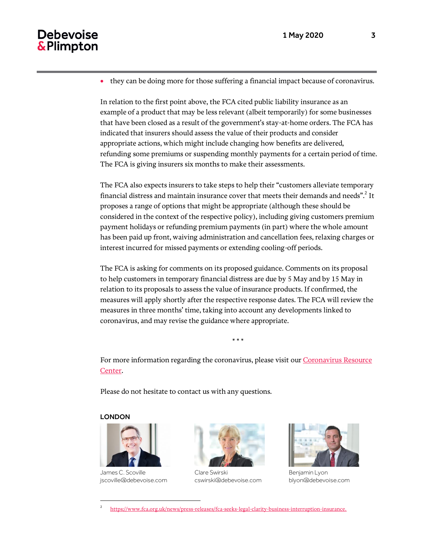## Debevoise & Plimpton

they can be doing more for those suffering a financial impact because of coronavirus.

In relation to the first point above, the FCA cited public liability insurance as an example of a product that may be less relevant (albeit temporarily) for some businesses that have been closed as a result of the government's stay-at-home orders. The FCA has indicated that insurers should assess the value of their products and consider appropriate actions, which might include changing how benefits are delivered, refunding some premiums or suspending monthly payments for a certain period of time. The FCA is giving insurers six months to make their assessments.

The FCA also expects insurers to take steps to help their "customers alleviate temporary financial distress and maintain insurance cover that meets their demands and needs". $^2$  It proposes a range of options that might be appropriate (although these should be considered in the context of the respective policy), including giving customers premium payment holidays or refunding premium payments (in part) where the whole amount has been paid up front, waiving administration and cancellation fees, relaxing charges or interest incurred for missed payments or extending cooling-off periods.

The FCA is asking for comments on its proposed guidance. Comments on its proposal to help customers in temporary financial distress are due by 5 May and by 15 May in relation to its proposals to assess the value of insurance products. If confirmed, the measures will apply shortly after the respective response dates. The FCA will review the measures in three months' time, taking into account any developments linked to coronavirus, and may revise the guidance where appropriate.

For more information regarding the coronavirus, please visit ou[r Coronavirus Resource](https://www.debevoise.com/topics/covid19checklist)  [Center.](https://www.debevoise.com/topics/covid19checklist)

\* \* \*

Please do not hesitate to contact us with any questions.

#### LONDON

 $\overline{a}$ 



James C. Scoville jscoville@debevoise.com



Clare Swirski cswirski@debevoise.com



Benjamin Lyon blyon@debevoise.com

2 [https://www.fca.org.uk/news/press-releases/fca-seeks-legal-clarity-business-interruption-insurance.](https://www.fca.org.uk/news/press-releases/fca-seeks-legal-clarity-business-interruption-insurance)